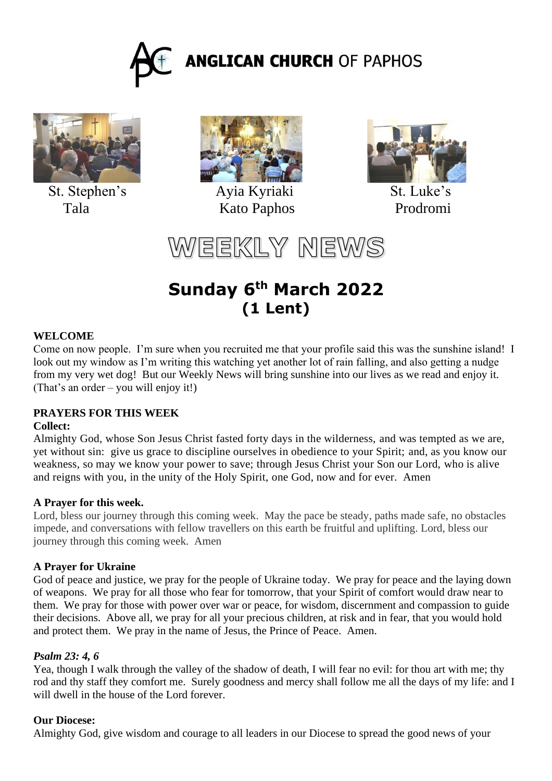



St. Stephen's Ayia Kyriaki St. Luke's



Tala Kato Paphos Prodromi



WEEKLY NEWS

# **Sunday 6 th March 2022 (1 Lent)**

## **WELCOME**

Come on now people. I'm sure when you recruited me that your profile said this was the sunshine island! I look out my window as I'm writing this watching yet another lot of rain falling, and also getting a nudge from my very wet dog! But our Weekly News will bring sunshine into our lives as we read and enjoy it. (That's an order – you will enjoy it!)

## **PRAYERS FOR THIS WEEK**

#### **Collect:**

Almighty God, whose Son Jesus Christ fasted forty days in the wilderness, and was tempted as we are, yet without sin: give us grace to discipline ourselves in obedience to your Spirit; and, as you know our weakness, so may we know your power to save; through Jesus Christ your Son our Lord, who is alive and reigns with you, in the unity of the Holy Spirit, one God, now and for ever. Amen

#### **A Prayer for this week.**

Lord, bless our journey through this coming week. May the pace be steady, paths made safe, no obstacles impede, and conversations with fellow travellers on this earth be fruitful and uplifting. Lord, bless our journey through this coming week. Amen

#### **A Prayer for Ukraine**

God of peace and justice, we pray for the people of Ukraine today. We pray for peace and the laying down of weapons. We pray for all those who fear for tomorrow, that your Spirit of comfort would draw near to them. We pray for those with power over war or peace, for wisdom, discernment and compassion to guide their decisions. Above all, we pray for all your precious children, at risk and in fear, that you would hold and protect them. We pray in the name of Jesus, the Prince of Peace. Amen.

#### *Psalm 23: 4, 6*

Yea, though I walk through the valley of the shadow of death, I will fear no evil: for thou art with me; thy rod and thy staff they comfort me. Surely goodness and mercy shall follow me all the days of my life: and I will dwell in the house of the Lord forever.

#### **Our Diocese:**

Almighty God, give wisdom and courage to all leaders in our Diocese to spread the good news of your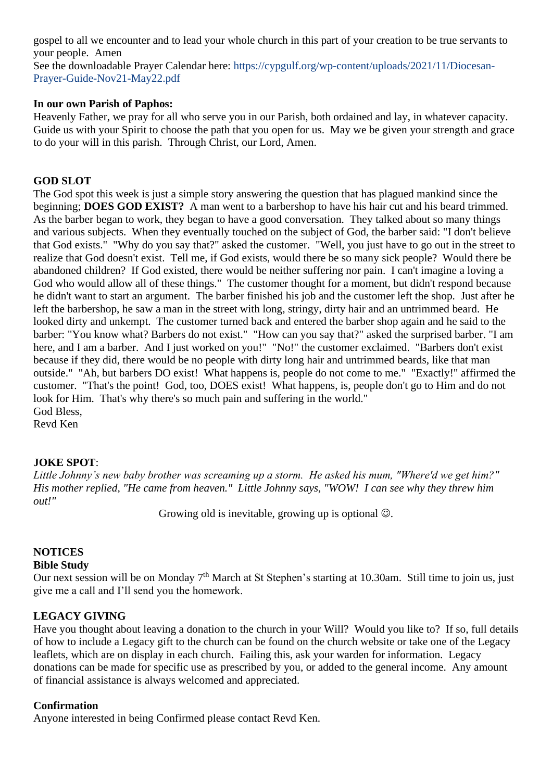gospel to all we encounter and to lead your whole church in this part of your creation to be true servants to your people. Amen

See the downloadable Prayer Calendar here: https://cypgulf.org/wp-content/uploads/2021/11/Diocesan-Prayer-Guide-Nov21-May22.pdf

#### **In our own Parish of Paphos:**

Heavenly Father, we pray for all who serve you in our Parish, both ordained and lay, in whatever capacity. Guide us with your Spirit to choose the path that you open for us. May we be given your strength and grace to do your will in this parish. Through Christ, our Lord, Amen.

## **GOD SLOT**

The God spot this week is just a simple story answering the question that has plagued mankind since the beginning; **DOES GOD EXIST?** A man went to a barbershop to have his hair cut and his beard trimmed. As the barber began to work, they began to have a good conversation. They talked about so many things and various subjects. When they eventually touched on the subject of God, the barber said: "I don't believe that God exists." "Why do you say that?" asked the customer. "Well, you just have to go out in the street to realize that God doesn't exist. Tell me, if God exists, would there be so many sick people? Would there be abandoned children? If God existed, there would be neither suffering nor pain. I can't imagine a loving a God who would allow all of these things." The customer thought for a moment, but didn't respond because he didn't want to start an argument. The barber finished his job and the customer left the shop. Just after he left the barbershop, he saw a man in the street with long, stringy, dirty hair and an untrimmed beard. He looked dirty and unkempt. The customer turned back and entered the barber shop again and he said to the barber: "You know what? Barbers do not exist." "How can you say that?" asked the surprised barber. "I am here, and I am a barber. And I just worked on you!" "No!" the customer exclaimed. "Barbers don't exist because if they did, there would be no people with dirty long hair and untrimmed beards, like that man outside." "Ah, but barbers DO exist! What happens is, people do not come to me." "Exactly!" affirmed the customer. "That's the point! God, too, DOES exist! What happens, is, people don't go to Him and do not look for Him. That's why there's so much pain and suffering in the world." God Bless,

### Revd Ken

## **JOKE SPOT**:

*Little Johnny's new baby brother was screaming up a storm. He asked his mum, "Where'd we get him?" His mother replied, "He came from heaven." Little Johnny says, "WOW! I can see why they threw him out!"*

Growing old is inevitable, growing up is optional  $\odot$ .

## **NOTICES**

#### **Bible Study**

Our next session will be on Monday 7<sup>th</sup> March at St Stephen's starting at 10.30am. Still time to join us, just give me a call and I'll send you the homework.

#### **LEGACY GIVING**

Have you thought about leaving a donation to the church in your Will? Would you like to? If so, full details of how to include a Legacy gift to the church can be found on the church website or take one of the Legacy leaflets, which are on display in each church. Failing this, ask your warden for information. Legacy donations can be made for specific use as prescribed by you, or added to the general income. Any amount of financial assistance is always welcomed and appreciated.

#### **Confirmation**

Anyone interested in being Confirmed please contact Revd Ken.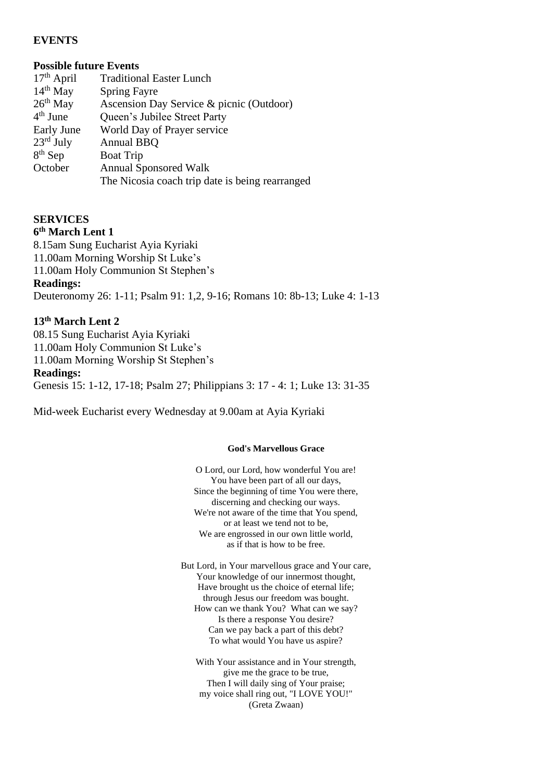### **EVENTS**

#### **Possible future Events**

| $17th$ April          | <b>Traditional Easter Lunch</b>                 |
|-----------------------|-------------------------------------------------|
| $14th$ May            | <b>Spring Fayre</b>                             |
| $26th$ May            | Ascension Day Service & picnic (Outdoor)        |
| $4th$ June            | Queen's Jubilee Street Party                    |
| Early June            | World Day of Prayer service                     |
| $23^{\text{rd}}$ July | <b>Annual BBQ</b>                               |
| $8th$ Sep             | <b>Boat Trip</b>                                |
| October               | <b>Annual Sponsored Walk</b>                    |
|                       | The Nicosia coach trip date is being rearranged |

## **SERVICES**

#### **6 th March Lent 1**

8.15am Sung Eucharist Ayia Kyriaki 11.00am Morning Worship St Luke's 11.00am Holy Communion St Stephen's **Readings:** Deuteronomy 26: 1-11; Psalm 91: 1,2, 9-16; Romans 10: 8b-13; Luke 4: 1-13

#### **13th March Lent 2**

08.15 Sung Eucharist Ayia Kyriaki 11.00am Holy Communion St Luke's 11.00am Morning Worship St Stephen's **Readings:** Genesis 15: 1-12, 17-18; Psalm 27; Philippians 3: 17 - 4: 1; Luke 13: 31-35

Mid-week Eucharist every Wednesday at 9.00am at Ayia Kyriaki

#### **God's Marvellous Grace**

O Lord, our Lord, how wonderful You are! You have been part of all our days, Since the beginning of time You were there, discerning and checking our ways. We're not aware of the time that You spend, or at least we tend not to be, We are engrossed in our own little world. as if that is how to be free.

But Lord, in Your marvellous grace and Your care, Your knowledge of our innermost thought, Have brought us the choice of eternal life; through Jesus our freedom was bought. How can we thank You? What can we say? Is there a response You desire? Can we pay back a part of this debt? To what would You have us aspire?

With Your assistance and in Your strength, give me the grace to be true, Then I will daily sing of Your praise; my voice shall ring out, "I LOVE YOU!" (Greta Zwaan)